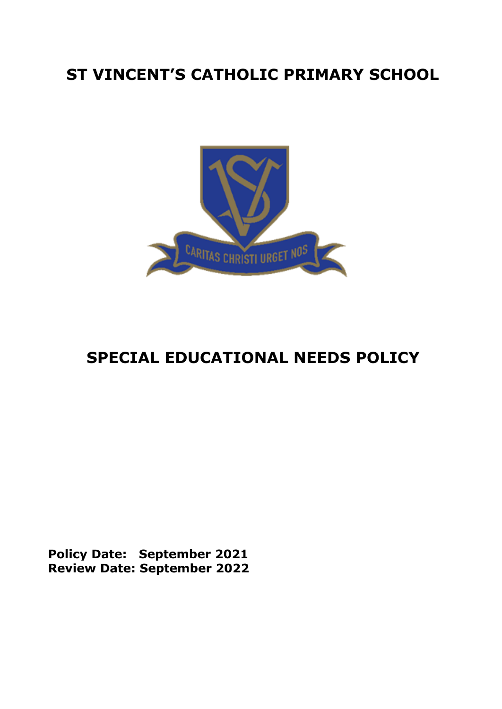# **ST VINCENT'S CATHOLIC PRIMARY SCHOOL**



# **SPECIAL EDUCATIONAL NEEDS POLICY**

**Policy Date: September 2021 Review Date: September 2022**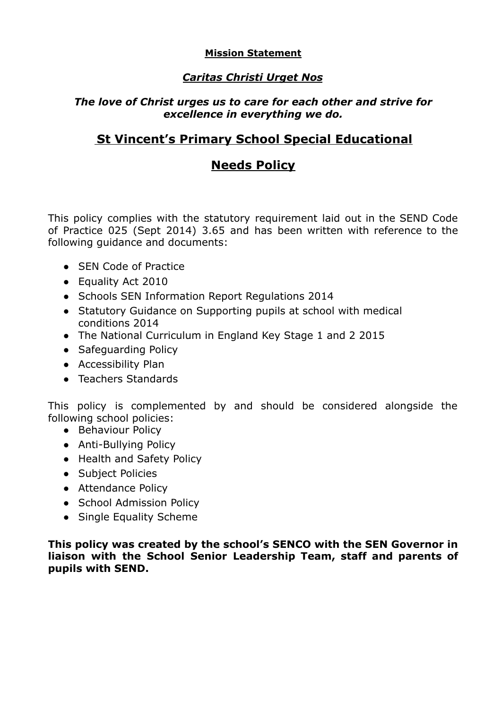# **Mission Statement**

# *Caritas Christi Urget Nos*

# *The love of Christ urges us to care for each other and strive for excellence in everything we do.*

# **St Vincent's Primary School Special Educational**

# **Needs Policy**

This policy complies with the statutory requirement laid out in the SEND Code of Practice 025 (Sept 2014) 3.65 and has been written with reference to the following guidance and documents:

- SEN Code of Practice
- Equality Act 2010
- Schools SEN Information Report Regulations 2014
- Statutory Guidance on Supporting pupils at school with medical conditions 2014
- The National Curriculum in England Key Stage 1 and 2 2015
- Safeguarding Policy
- Accessibility Plan
- Teachers Standards

This policy is complemented by and should be considered alongside the following school policies:

- Behaviour Policy
- Anti-Bullying Policy
- Health and Safety Policy
- Subject Policies
- Attendance Policy
- School Admission Policy
- Single Equality Scheme

**This policy was created by the school's SENCO with the SEN Governor in liaison with the School Senior Leadership Team, staff and parents of pupils with SEND.**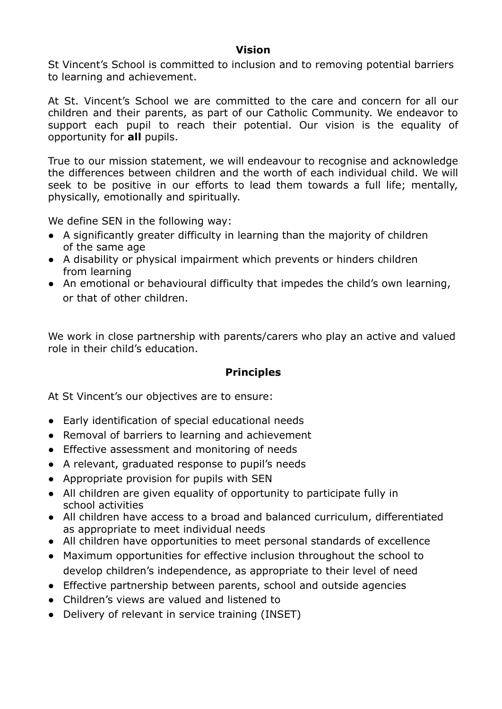## **Vision**

St Vincent's School is committed to inclusion and to removing potential barriers to learning and achievement.

At St. Vincent's School we are committed to the care and concern for all our children and their parents, as part of our Catholic Community. We endeavor to support each pupil to reach their potential. Our vision is the equality of opportunity for **all** pupils.

True to our mission statement, we will endeavour to recognise and acknowledge the differences between children and the worth of each individual child. We will seek to be positive in our efforts to lead them towards a full life; mentally, physically, emotionally and spiritually.

We define SEN in the following way:

- A significantly greater difficulty in learning than the majority of children of the same age
- A disability or physical impairment which prevents or hinders children from learning
- An emotional or behavioural difficulty that impedes the child's own learning, or that of other children.

We work in close partnership with parents/carers who play an active and valued role in their child's education.

# **Principles**

At St Vincent's our objectives are to ensure:

- Early identification of special educational needs
- Removal of barriers to learning and achievement
- Effective assessment and monitoring of needs
- A relevant, graduated response to pupil's needs
- Appropriate provision for pupils with SEN
- All children are given equality of opportunity to participate fully in school activities
- All children have access to a broad and balanced curriculum, differentiated as appropriate to meet individual needs
- All children have opportunities to meet personal standards of excellence
- Maximum opportunities for effective inclusion throughout the school to develop children's independence, as appropriate to their level of need
- Effective partnership between parents, school and outside agencies
- Children's views are valued and listened to
- Delivery of relevant in service training (INSET)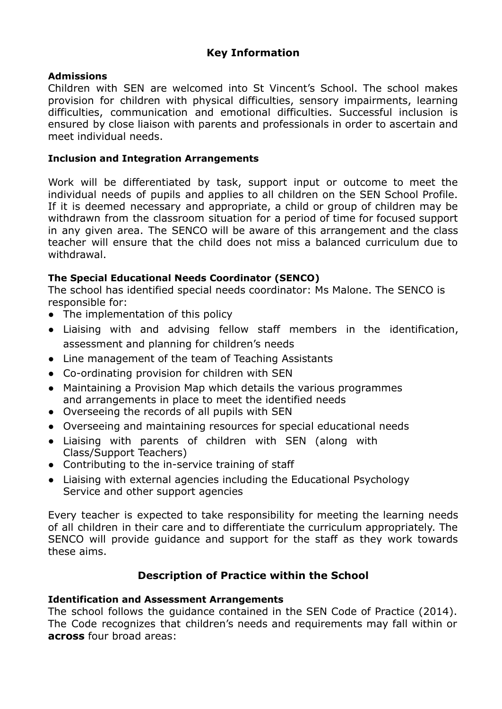# **Key Information**

## **Admissions**

Children with SEN are welcomed into St Vincent's School. The school makes provision for children with physical difficulties, sensory impairments, learning difficulties, communication and emotional difficulties. Successful inclusion is ensured by close liaison with parents and professionals in order to ascertain and meet individual needs.

## **Inclusion and Integration Arrangements**

Work will be differentiated by task, support input or outcome to meet the individual needs of pupils and applies to all children on the SEN School Profile. If it is deemed necessary and appropriate, a child or group of children may be withdrawn from the classroom situation for a period of time for focused support in any given area. The SENCO will be aware of this arrangement and the class teacher will ensure that the child does not miss a balanced curriculum due to withdrawal.

## **The Special Educational Needs Coordinator (SENCO)**

The school has identified special needs coordinator: Ms Malone. The SENCO is responsible for:

- The implementation of this policy
- Liaising with and advising fellow staff members in the identification, assessment and planning for children's needs
- Line management of the team of Teaching Assistants
- Co-ordinating provision for children with SEN
- Maintaining a Provision Map which details the various programmes and arrangements in place to meet the identified needs
- Overseeing the records of all pupils with SEN
- Overseeing and maintaining resources for special educational needs
- Liaising with parents of children with SEN (along with Class/Support Teachers)
- Contributing to the in-service training of staff
- Liaising with external agencies including the Educational Psychology Service and other support agencies

Every teacher is expected to take responsibility for meeting the learning needs of all children in their care and to differentiate the curriculum appropriately. The SENCO will provide guidance and support for the staff as they work towards these aims.

# **Description of Practice within the School**

#### **Identification and Assessment Arrangements**

The school follows the guidance contained in the SEN Code of Practice (2014). The Code recognizes that children's needs and requirements may fall within or **across** four broad areas: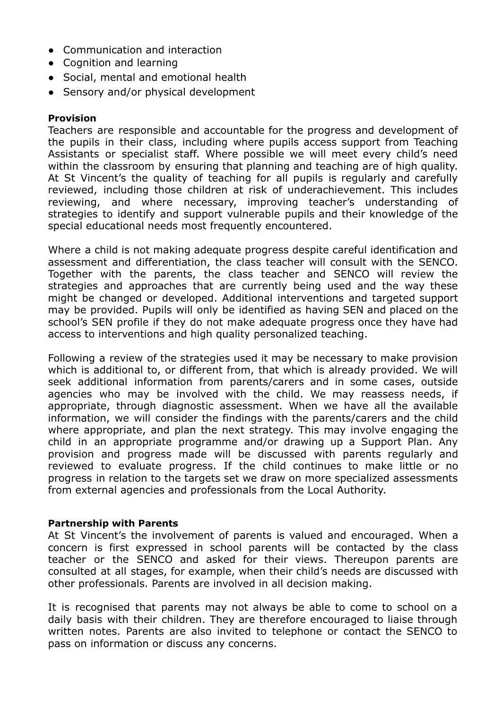- Communication and interaction
- Cognition and learning
- Social, mental and emotional health
- Sensory and/or physical development

## **Provision**

Teachers are responsible and accountable for the progress and development of the pupils in their class, including where pupils access support from Teaching Assistants or specialist staff. Where possible we will meet every child's need within the classroom by ensuring that planning and teaching are of high quality. At St Vincent's the quality of teaching for all pupils is regularly and carefully reviewed, including those children at risk of underachievement. This includes reviewing, and where necessary, improving teacher's understanding of strategies to identify and support vulnerable pupils and their knowledge of the special educational needs most frequently encountered.

Where a child is not making adequate progress despite careful identification and assessment and differentiation, the class teacher will consult with the SENCO. Together with the parents, the class teacher and SENCO will review the strategies and approaches that are currently being used and the way these might be changed or developed. Additional interventions and targeted support may be provided. Pupils will only be identified as having SEN and placed on the school's SEN profile if they do not make adequate progress once they have had access to interventions and high quality personalized teaching.

Following a review of the strategies used it may be necessary to make provision which is additional to, or different from, that which is already provided. We will seek additional information from parents/carers and in some cases, outside agencies who may be involved with the child. We may reassess needs, if appropriate, through diagnostic assessment. When we have all the available information, we will consider the findings with the parents/carers and the child where appropriate, and plan the next strategy. This may involve engaging the child in an appropriate programme and/or drawing up a Support Plan. Any provision and progress made will be discussed with parents regularly and reviewed to evaluate progress. If the child continues to make little or no progress in relation to the targets set we draw on more specialized assessments from external agencies and professionals from the Local Authority.

#### **Partnership with Parents**

At St Vincent's the involvement of parents is valued and encouraged. When a concern is first expressed in school parents will be contacted by the class teacher or the SENCO and asked for their views. Thereupon parents are consulted at all stages, for example, when their child's needs are discussed with other professionals. Parents are involved in all decision making.

It is recognised that parents may not always be able to come to school on a daily basis with their children. They are therefore encouraged to liaise through written notes. Parents are also invited to telephone or contact the SENCO to pass on information or discuss any concerns.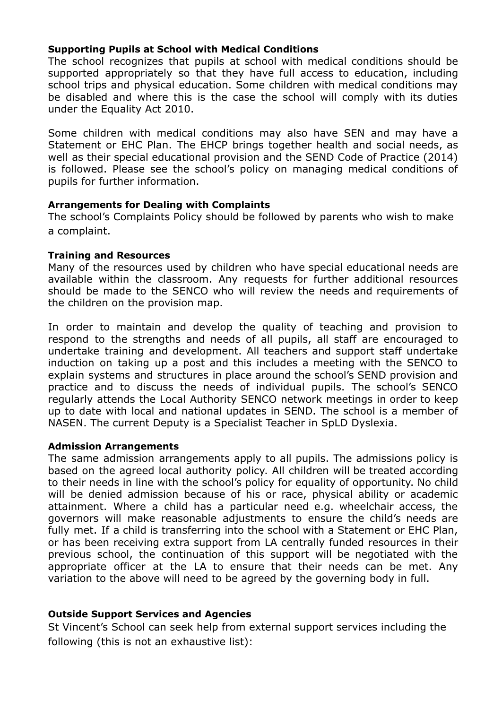## **Supporting Pupils at School with Medical Conditions**

The school recognizes that pupils at school with medical conditions should be supported appropriately so that they have full access to education, including school trips and physical education. Some children with medical conditions may be disabled and where this is the case the school will comply with its duties under the Equality Act 2010.

Some children with medical conditions may also have SEN and may have a Statement or EHC Plan. The EHCP brings together health and social needs, as well as their special educational provision and the SEND Code of Practice (2014) is followed. Please see the school's policy on managing medical conditions of pupils for further information.

#### **Arrangements for Dealing with Complaints**

The school's Complaints Policy should be followed by parents who wish to make a complaint.

#### **Training and Resources**

Many of the resources used by children who have special educational needs are available within the classroom. Any requests for further additional resources should be made to the SENCO who will review the needs and requirements of the children on the provision map.

In order to maintain and develop the quality of teaching and provision to respond to the strengths and needs of all pupils, all staff are encouraged to undertake training and development. All teachers and support staff undertake induction on taking up a post and this includes a meeting with the SENCO to explain systems and structures in place around the school's SEND provision and practice and to discuss the needs of individual pupils. The school's SENCO regularly attends the Local Authority SENCO network meetings in order to keep up to date with local and national updates in SEND. The school is a member of NASEN. The current Deputy is a Specialist Teacher in SpLD Dyslexia.

#### **Admission Arrangements**

The same admission arrangements apply to all pupils. The admissions policy is based on the agreed local authority policy. All children will be treated according to their needs in line with the school's policy for equality of opportunity. No child will be denied admission because of his or race, physical ability or academic attainment. Where a child has a particular need e.g. wheelchair access, the governors will make reasonable adjustments to ensure the child's needs are fully met. If a child is transferring into the school with a Statement or EHC Plan, or has been receiving extra support from LA centrally funded resources in their previous school, the continuation of this support will be negotiated with the appropriate officer at the LA to ensure that their needs can be met. Any variation to the above will need to be agreed by the governing body in full.

#### **Outside Support Services and Agencies**

St Vincent's School can seek help from external support services including the following (this is not an exhaustive list):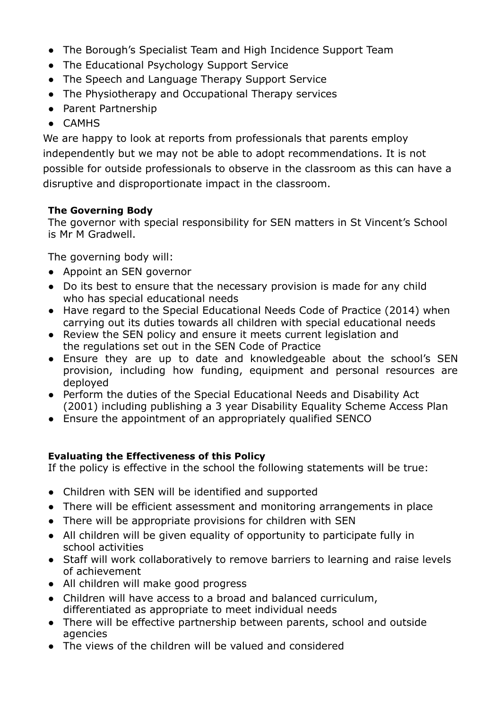- The Borough's Specialist Team and High Incidence Support Team
- The Educational Psychology Support Service
- The Speech and Language Therapy Support Service
- The Physiotherapy and Occupational Therapy services
- Parent Partnership
- CAMHS

We are happy to look at reports from professionals that parents employ independently but we may not be able to adopt recommendations. It is not possible for outside professionals to observe in the classroom as this can have a disruptive and disproportionate impact in the classroom.

# **The Governing Body**

The governor with special responsibility for SEN matters in St Vincent's School is Mr M Gradwell.

The governing body will:

- Appoint an SEN governor
- Do its best to ensure that the necessary provision is made for any child who has special educational needs
- Have regard to the Special Educational Needs Code of Practice (2014) when carrying out its duties towards all children with special educational needs
- Review the SEN policy and ensure it meets current legislation and the regulations set out in the SEN Code of Practice
- Ensure they are up to date and knowledgeable about the school's SEN provision, including how funding, equipment and personal resources are deployed
- Perform the duties of the Special Educational Needs and Disability Act (2001) including publishing a 3 year Disability Equality Scheme Access Plan
- Ensure the appointment of an appropriately qualified SENCO

# **Evaluating the Effectiveness of this Policy**

If the policy is effective in the school the following statements will be true:

- Children with SEN will be identified and supported
- There will be efficient assessment and monitoring arrangements in place
- There will be appropriate provisions for children with SEN
- All children will be given equality of opportunity to participate fully in school activities
- Staff will work collaboratively to remove barriers to learning and raise levels of achievement
- All children will make good progress
- Children will have access to a broad and balanced curriculum, differentiated as appropriate to meet individual needs
- There will be effective partnership between parents, school and outside agencies
- The views of the children will be valued and considered